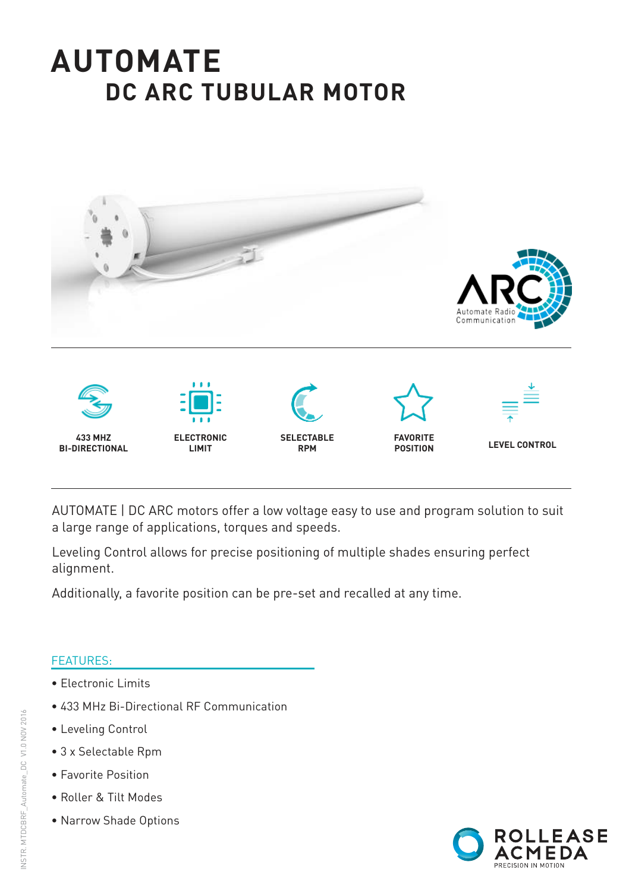# **AUTOMATE DC ARC TUBULAR MOTOR**



AUTOMATE | DC ARC motors offer a low voltage easy to use and program solution to suit a large range of applications, torques and speeds.

Leveling Control allows for precise positioning of multiple shades ensuring perfect alignment.

Additionally, a favorite position can be pre-set and recalled at any time.

#### FEATURES:

- Electronic Limits
- 433 MHz Bi-Directional RF Communication
- Leveling Control
- 3 x Selectable Rpm
- Favorite Position
- Roller & Tilt Modes
- Narrow Shade Options

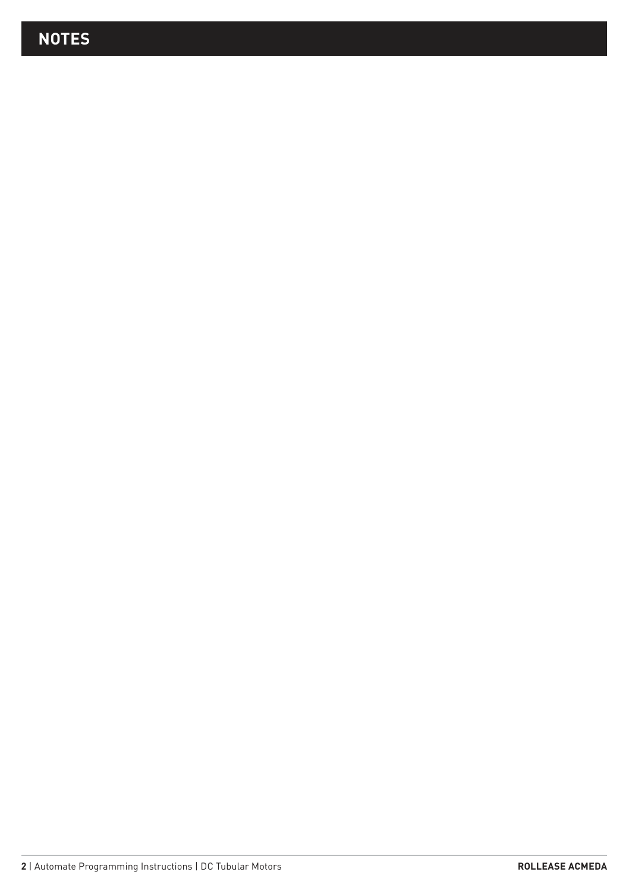# **NOTES**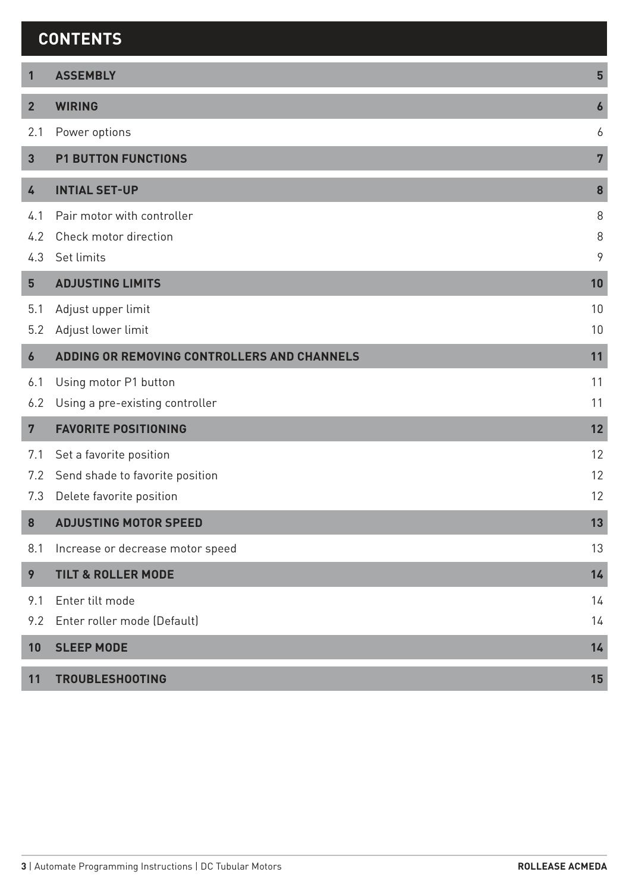#### **CONTENTS**

| 1                | <b>ASSEMBLY</b>                             | $5\phantom{1}$   |
|------------------|---------------------------------------------|------------------|
| $\overline{2}$   | <b>WIRING</b>                               | $\boldsymbol{6}$ |
| 2.1              | Power options                               | 6                |
| $\overline{3}$   | <b>P1 BUTTON FUNCTIONS</b>                  | $\overline{7}$   |
| 4                | <b>INTIAL SET-UP</b>                        | 8                |
| 4.1              | Pair motor with controller                  | 8                |
| 4.2              | Check motor direction                       | 8                |
| 4.3              | Set limits                                  | 9                |
| 5                | <b>ADJUSTING LIMITS</b>                     | 10               |
| 5.1              | Adjust upper limit                          | 10               |
| 5.2              | Adjust lower limit                          | 10               |
| $\boldsymbol{6}$ | ADDING OR REMOVING CONTROLLERS AND CHANNELS | 11               |
| 6.1              | Using motor P1 button                       | 11               |
| 6.2              | Using a pre-existing controller             | 11               |
| $\overline{7}$   | <b>FAVORITE POSITIONING</b>                 | 12               |
| 7.1              | Set a favorite position                     | 12               |
| 7.2              | Send shade to favorite position             | 12               |
| 7.3              | Delete favorite position                    | 12               |
| 8                | <b>ADJUSTING MOTOR SPEED</b>                | 13               |
| 8.1              | Increase or decrease motor speed            | 13               |
| 9                | <b>TILT &amp; ROLLER MODE</b>               | 14               |
| 9.1              | Enter tilt mode                             | 14               |
| 9.2              | Enter roller mode (Default)                 | 14               |
| 10               | <b>SLEEP MODE</b>                           | 14               |
| 11               | <b>TROUBLESHOOTING</b>                      | 15               |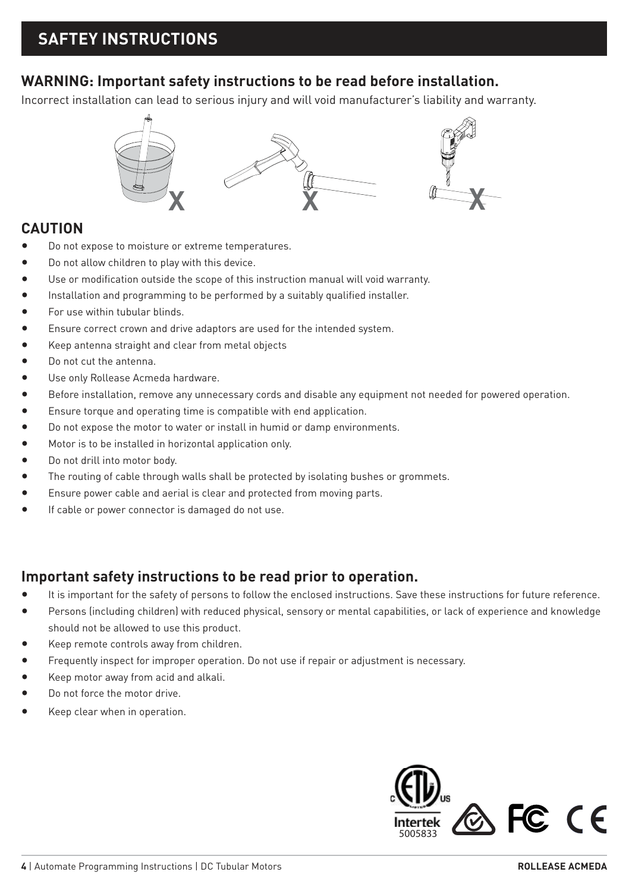#### **WARNING: Important safety instructions to be read before installation.**

Incorrect installation can lead to serious injury and will void manufacturer's liability and warranty.



#### **CAUTION**

- Do not expose to moisture or extreme temperatures.
- Do not allow children to play with this device.
- Use or modification outside the scope of this instruction manual will void warranty.
- Installation and programming to be performed by a suitably qualified installer.
- For use within tubular blinds.
- Ensure correct crown and drive adaptors are used for the intended system.
- Keep antenna straight and clear from metal objects
- Do not cut the antenna.
- Use only Rollease Acmeda hardware.
- Before installation, remove any unnecessary cords and disable any equipment not needed for powered operation.
- Ensure torque and operating time is compatible with end application.
- Do not expose the motor to water or install in humid or damp environments.
- Motor is to be installed in horizontal application only.
- Do not drill into motor body.
- The routing of cable through walls shall be protected by isolating bushes or grommets.
- Ensure power cable and aerial is clear and protected from moving parts.
- If cable or power connector is damaged do not use.

#### **Important safety instructions to be read prior to operation.**

- It is important for the safety of persons to follow the enclosed instructions. Save these instructions for future reference.
- Persons (including children) with reduced physical, sensory or mental capabilities, or lack of experience and knowledge should not be allowed to use this product.
- Keep remote controls away from children.
- Frequently inspect for improper operation. Do not use if repair or adjustment is necessary.
- Keep motor away from acid and alkali.
- Do not force the motor drive.
- Keep clear when in operation.

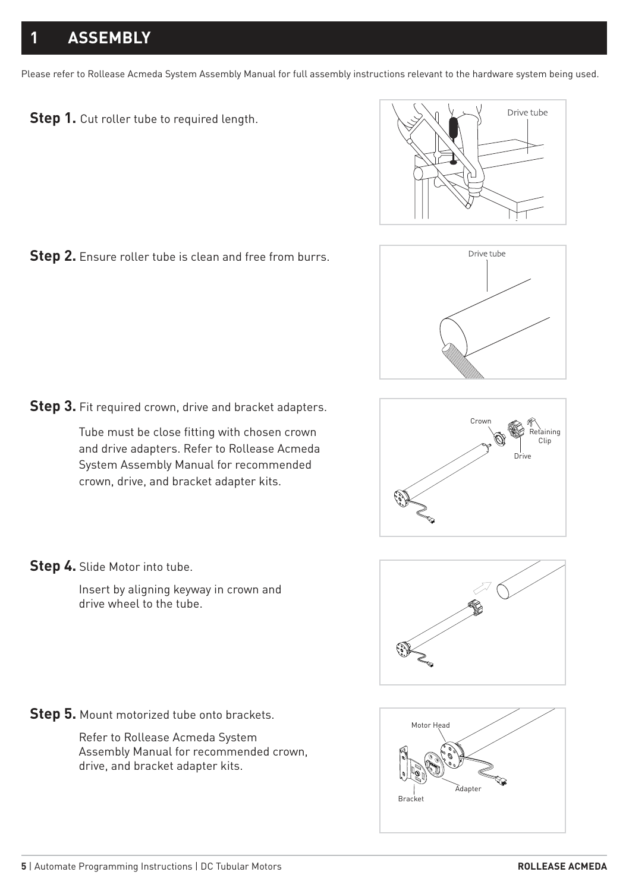# **1 ASSEMBLY**

Please refer to Rollease Acmeda System Assembly Manual for full assembly instructions relevant to the hardware system being used.





**Step 3.** Fit required crown, drive and bracket adapters.

Tube must be close fitting with chosen crown and drive adapters. Refer to Rollease Acmeda System Assembly Manual for recommended crown, drive, and bracket adapter kits.



Insert by aligning keyway in crown and drive wheel to the tube.

**Step 5.** Mount motorized tube onto brackets.

Refer to Rollease Acmeda System Assembly Manual for recommended crown, drive, and bracket adapter kits.









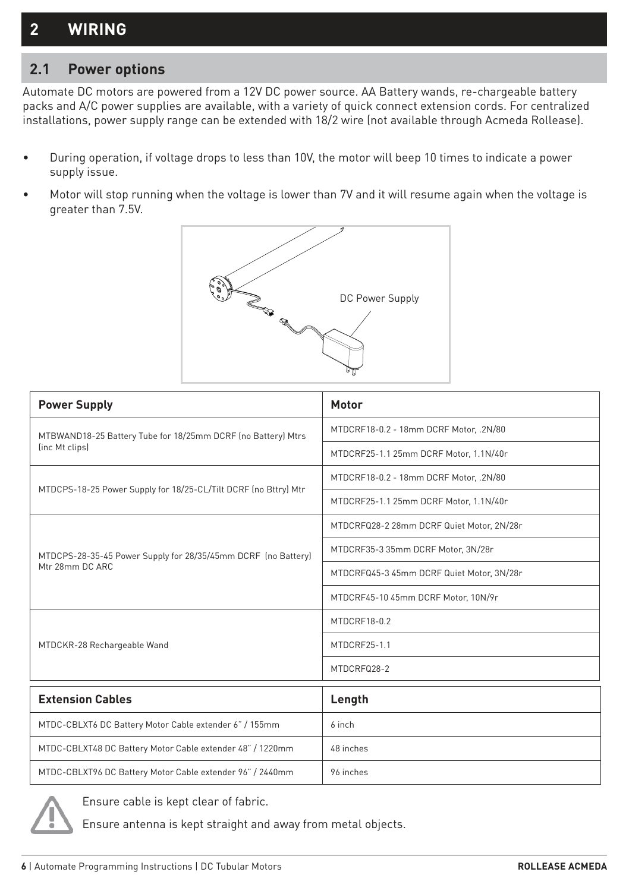#### **2 WIRING**

#### **2.1 Power options**

Automate DC motors are powered from a 12V DC power source. AA Battery wands, re-chargeable battery packs and A/C power supplies are available, with a variety of quick connect extension cords. For centralized installations, power supply range can be extended with 18/2 wire (not available through Acmeda Rollease).

- During operation, if voltage drops to less than 10V, the motor will beep 10 times to indicate a power supply issue.
- Motor will stop running when the voltage is lower than 7V and it will resume again when the voltage is greater than 7.5V.



| <b>Power Supply</b>                                             | Motor                                     |  |  |
|-----------------------------------------------------------------|-------------------------------------------|--|--|
| MTBWAND18-25 Battery Tube for 18/25mm DCRF (no Battery) Mtrs    | MTDCRF18-0.2 - 18mm DCRF Motor, .2N/80    |  |  |
| (inc Mt clips)                                                  | MTDCRF25-1.1 25mm DCRF Motor, 1.1N/40r    |  |  |
|                                                                 | MTDCRF18-0.2 - 18mm DCRF Motor, .2N/80    |  |  |
| MTDCPS-18-25 Power Supply for 18/25-CL/Tilt DCRF (no Bttry) Mtr | MTDCRF25-1.1 25mm DCRF Motor, 1.1N/40r    |  |  |
|                                                                 | MTDCRFQ28-2 28mm DCRF Quiet Motor, 2N/28r |  |  |
| MTDCPS-28-35-45 Power Supply for 28/35/45mm DCRF (no Battery)   | MTDCRF35-3 35mm DCRF Motor, 3N/28r        |  |  |
| Mtr 28mm DC ARC                                                 | MTDCRFQ45-3 45mm DCRF Quiet Motor, 3N/28r |  |  |
|                                                                 | MTDCRF45-10 45mm DCRF Motor, 10N/9r       |  |  |
|                                                                 | MTDCRF18-0.2                              |  |  |
| MTDCKR-28 Rechargeable Wand                                     | MTDCRF25-1.1                              |  |  |
|                                                                 | MTDCRFQ28-2                               |  |  |
| <b>Extension Cables</b>                                         | Length                                    |  |  |
| MTDC-CBLXT6 DC Battery Motor Cable extender 6" / 155mm          | 6 inch                                    |  |  |
| MTDC-CBLXT48 DC Battery Motor Cable extender 48" / 1220mm       | 48 inches                                 |  |  |
| MTDC-CBLXT96 DC Battery Motor Cable extender 96" / 2440mm       | 96 inches                                 |  |  |



Ensure cable is kept clear of fabric.

Ensure antenna is kept straight and away from metal objects.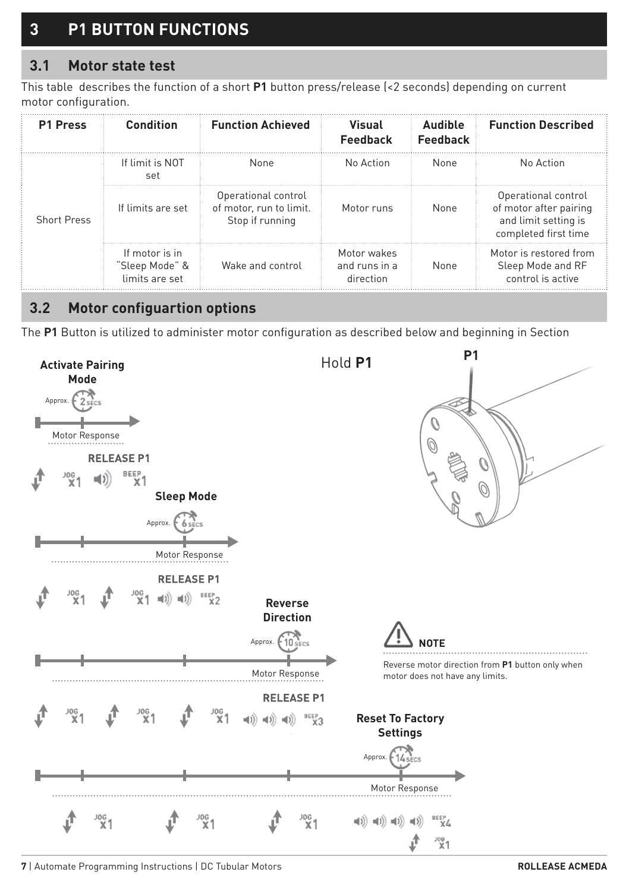# **3 P1 BUTTON FUNCTIONS**

#### **3.1 Motor state test**

This table describes the function of a short **P1** button press/release (<2 seconds) depending on current motor configuration.

| <b>P1 Press</b>    | Condition                                          | <b>Function Achieved</b>                                          | Visual<br>Feedback                        | Audible<br>Feedback | <b>Function Described</b>                                                                     |
|--------------------|----------------------------------------------------|-------------------------------------------------------------------|-------------------------------------------|---------------------|-----------------------------------------------------------------------------------------------|
|                    | If limit is NOT<br>set                             | None                                                              | No Action                                 | None                | No Action                                                                                     |
| <b>Short Press</b> | If limits are set                                  | Operational control<br>of motor, run to limit.<br>Stop if running | Motor runs                                | None                | Operational control<br>of motor after pairing<br>and limit setting is<br>completed first time |
|                    | If motor is in<br>"Sleep Mode" &<br>limits are set | Wake and control                                                  | Motor wakes<br>and runs in a<br>direction | None                | Motor is restored from<br>Sleep Mode and RF<br>control is active                              |

#### **3.2 Motor configuartion options**

The **P1** Button is utilized to administer motor configuration as described below and beginning in Section



**7** | Automate Programming Instructions | DC Tubular Motors **ROLLEASE ACMEDA**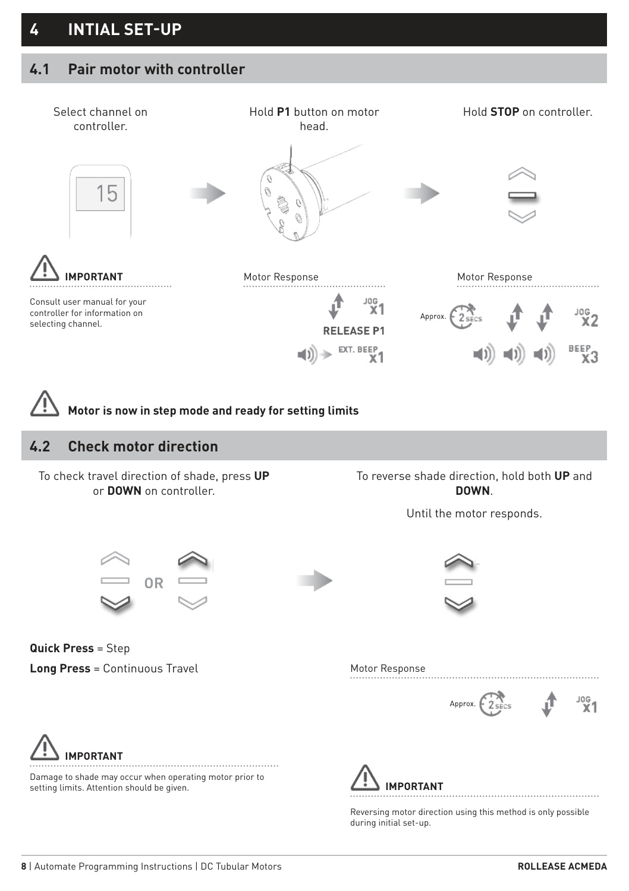#### **4.1 Pair motor with controller**

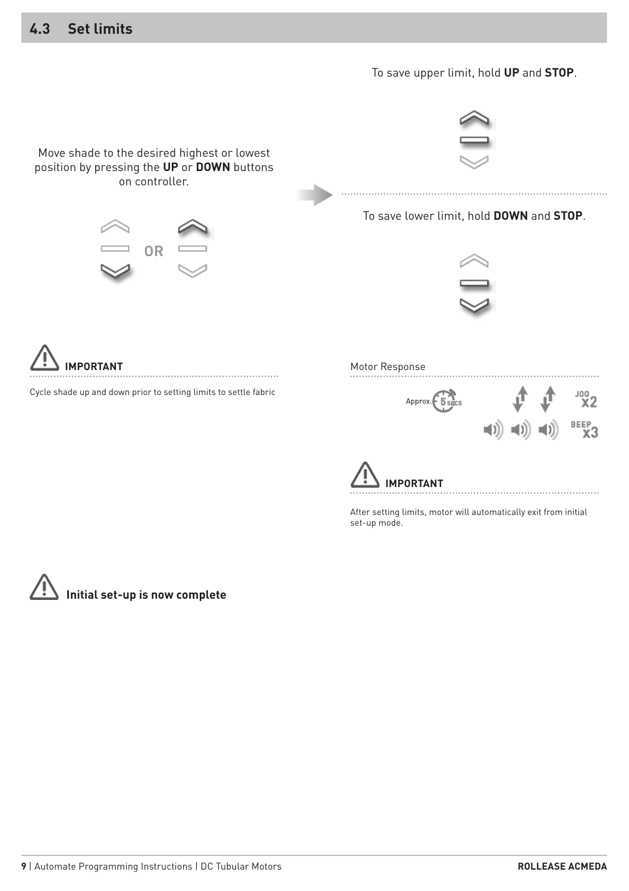#### **4.3 Set limits**



After setting limits, motor will automatically exit from initial set-up mode.

**Initial set-up is now complete**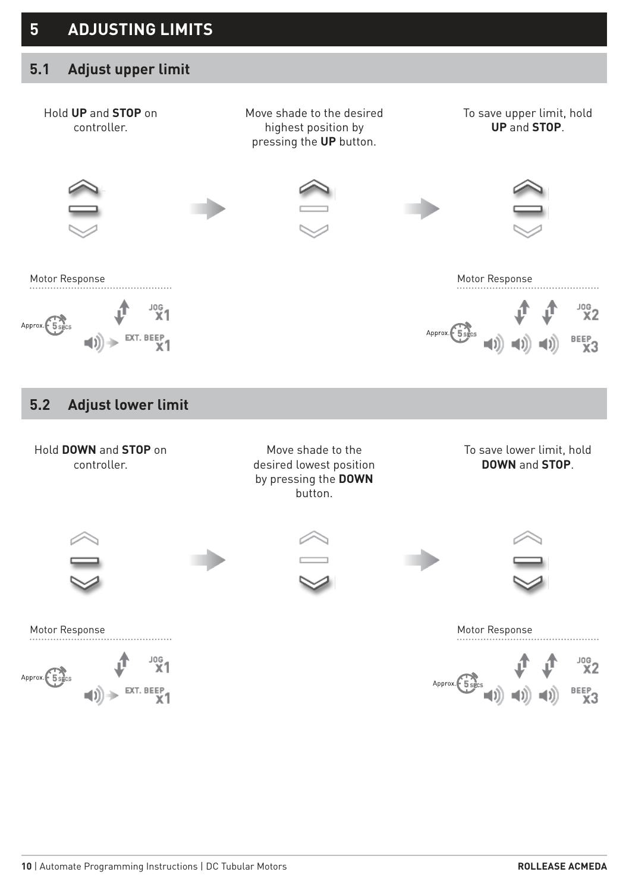#### **5.1 Adjust upper limit**

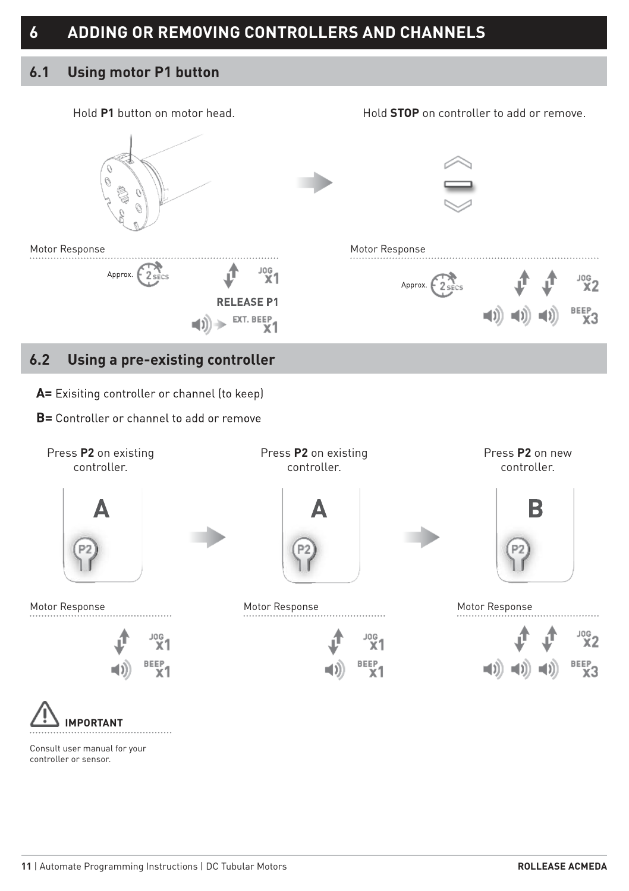# **6 ADDING OR REMOVING CONTROLLERS AND CHANNELS**

#### **6.1 Using motor P1 button**





Consult user manual for your controller or sensor.

. . . . . . . . . . . . .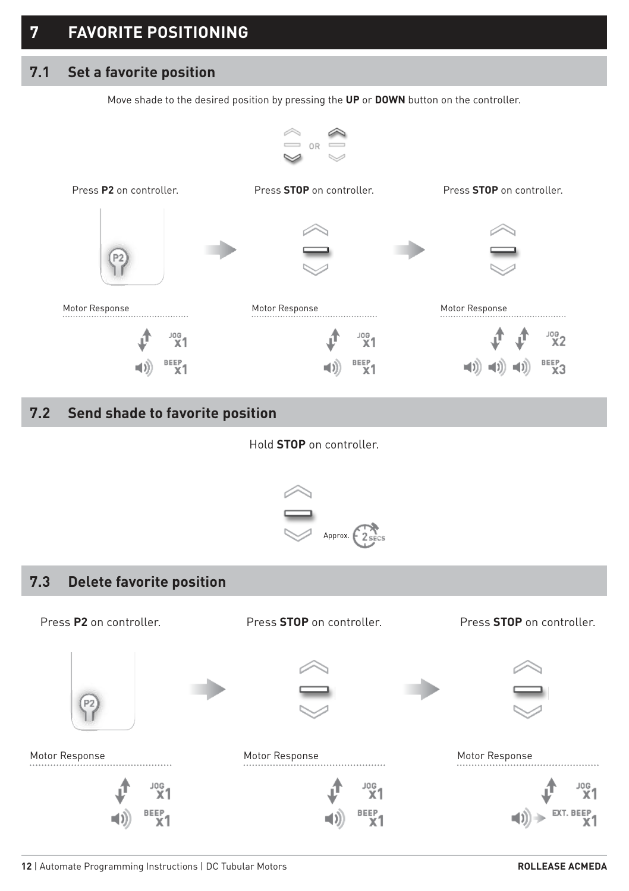#### **7.1 Set a favorite position**

Move shade to the desired position by pressing the **UP** or **DOWN** button on the controller.



#### **7.2 Send shade to favorite position**

Hold **STOP** on controller.



#### **7.3 Delete favorite position**

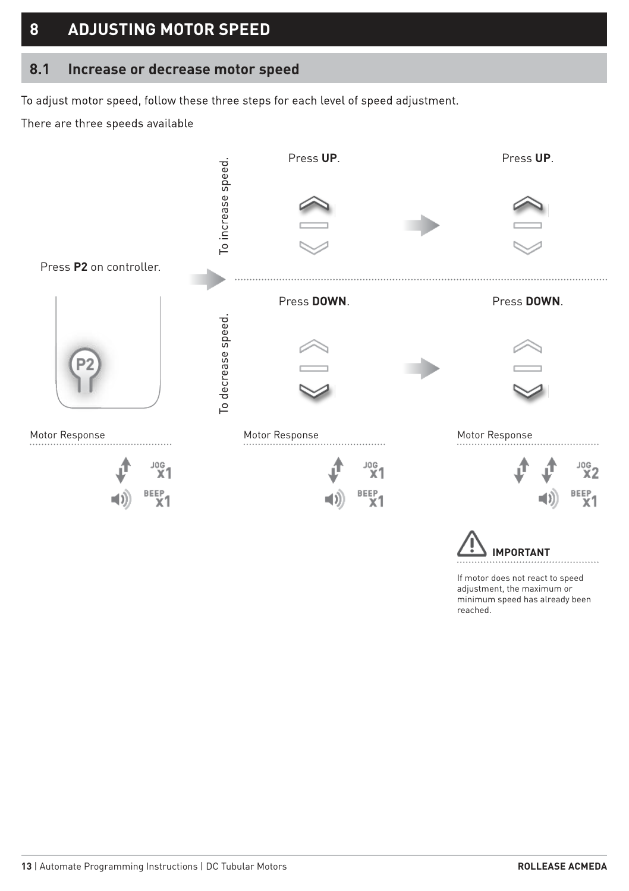#### **8 ADJUSTING MOTOR SPEED**

#### **8.1 Increase or decrease motor speed**

To adjust motor speed, follow these three steps for each level of speed adjustment.

There are three speeds available



If motor does not react to speed adiustment, the maximum or minimum speed has already been reached.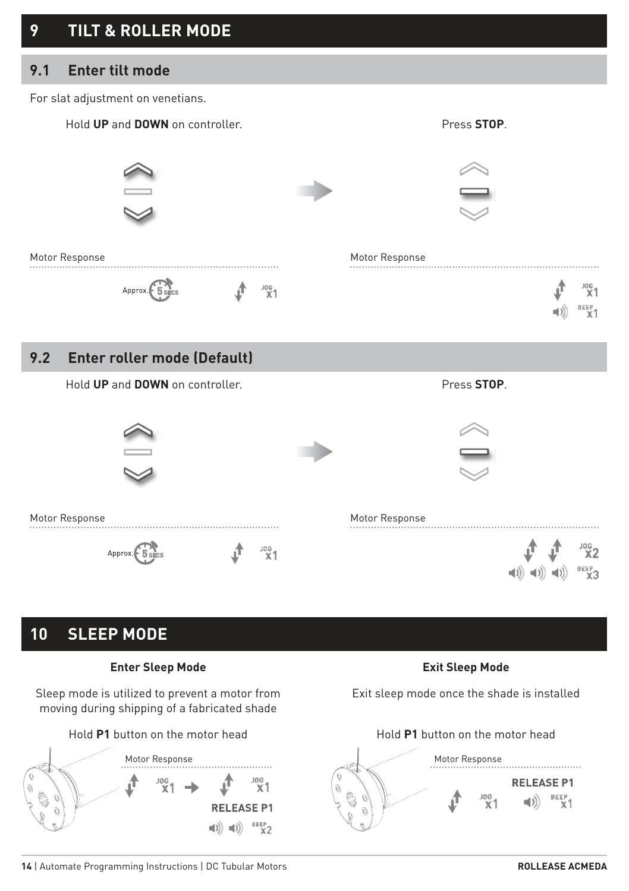# **9 TILT & ROLLER MODE**

#### **9.1 Enter tilt mode**

For slat adjustment on venetians.



#### **9.2 Enter roller mode (Default)**

Hold **UP** and **DOWN** on controller. **All and STOP** Press **STOP**.



#### **10 SLEEP MODE**

#### **Enter Sleep Mode Exit Sleep Mode**

Sleep mode is utilized to prevent a motor from moving during shipping of a fabricated shade



Exit sleep mode once the shade is installed

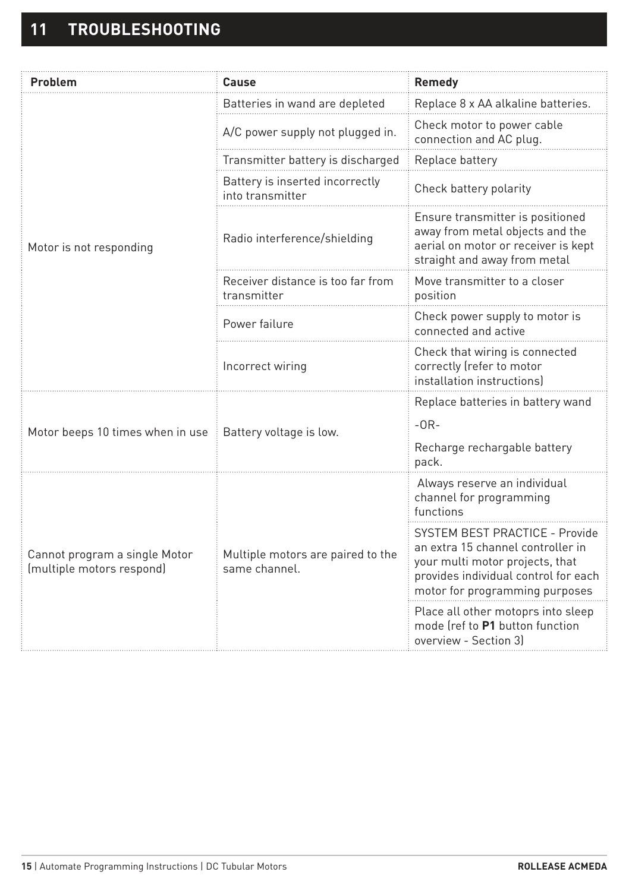| Problem                                                    | Cause                                               | Remedy                                                                                                                                                                                  |  |
|------------------------------------------------------------|-----------------------------------------------------|-----------------------------------------------------------------------------------------------------------------------------------------------------------------------------------------|--|
|                                                            | Batteries in wand are depleted                      | Replace 8 x AA alkaline batteries.                                                                                                                                                      |  |
|                                                            | A/C power supply not plugged in.                    | Check motor to power cable<br>connection and AC plug.                                                                                                                                   |  |
|                                                            | Transmitter battery is discharged                   | Replace battery                                                                                                                                                                         |  |
|                                                            | Battery is inserted incorrectly<br>into transmitter | Check battery polarity                                                                                                                                                                  |  |
| Motor is not responding                                    | Radio interference/shielding                        | Ensure transmitter is positioned<br>away from metal objects and the<br>aerial on motor or receiver is kept<br>straight and away from metal                                              |  |
|                                                            | Receiver distance is too far from<br>transmitter    | Move transmitter to a closer<br>position                                                                                                                                                |  |
|                                                            | Power failure                                       | Check power supply to motor is<br>connected and active                                                                                                                                  |  |
|                                                            | Incorrect wiring                                    | Check that wiring is connected<br>correctly (refer to motor<br>installation instructions)                                                                                               |  |
|                                                            |                                                     | Replace batteries in battery wand                                                                                                                                                       |  |
| Motor beeps 10 times when in use                           | Battery voltage is low.                             | $-OR-$                                                                                                                                                                                  |  |
|                                                            |                                                     | Recharge rechargable battery<br>pack.                                                                                                                                                   |  |
|                                                            |                                                     | Always reserve an individual<br>channel for programming<br>functions                                                                                                                    |  |
| Cannot program a single Motor<br>(multiple motors respond) | Multiple motors are paired to the<br>same channel.  | <b>SYSTEM BEST PRACTICE - Provide</b><br>an extra 15 channel controller in<br>your multi motor projects, that<br>provides individual control for each<br>motor for programming purposes |  |
|                                                            |                                                     | Place all other motoprs into sleep<br>mode (ref to P1 button function<br>overview - Section 31                                                                                          |  |